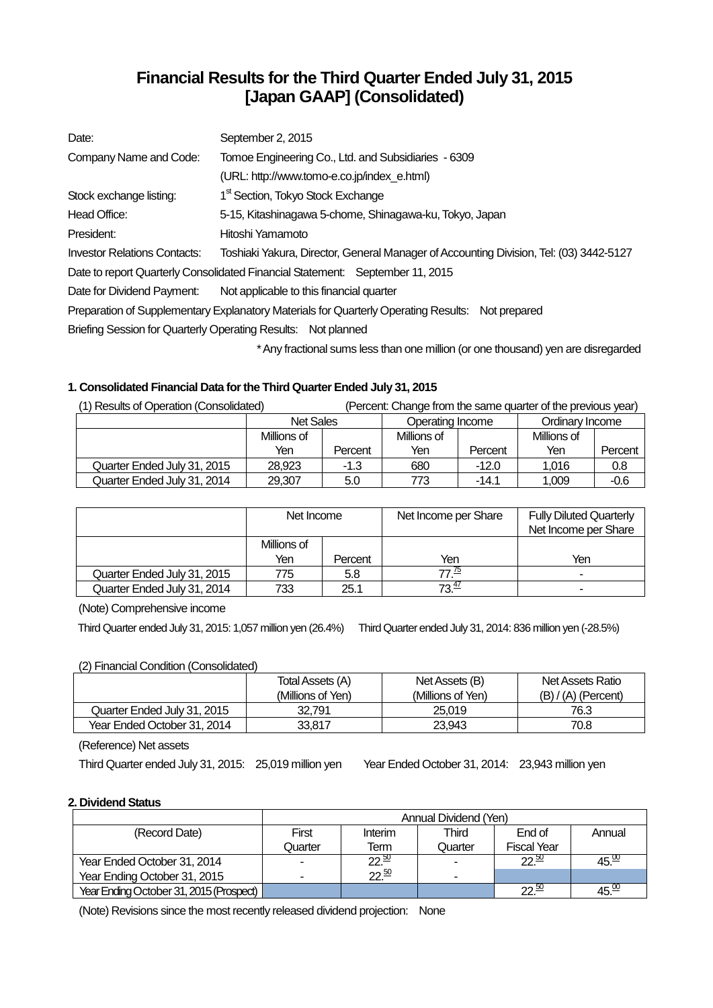# **Financial Results for the Third Quarter Ended July 31, 2015 [Japan GAAP] (Consolidated)**

| Date:                               | September 2, 2015                                                                                |
|-------------------------------------|--------------------------------------------------------------------------------------------------|
| Company Name and Code:              | Tomoe Engineering Co., Ltd. and Subsidiaries - 6309                                              |
|                                     | (URL: http://www.tomo-e.co.jp/index e.html)                                                      |
| Stock exchange listing:             | 1 <sup>st</sup> Section, Tokyo Stock Exchange                                                    |
| Head Office:                        | 5-15, Kitashinagawa 5-chome, Shinagawa-ku, Tokyo, Japan                                          |
| President:                          | Hitoshi Yamamoto                                                                                 |
| <b>Investor Relations Contacts:</b> | Toshiaki Yakura, Director, General Manager of Accounting Division, Tel: (03) 3442-5127           |
|                                     | Date to report Quarterly Consolidated Financial Statement: September 11, 2015                    |
| Date for Dividend Payment:          | Not applicable to this financial quarter                                                         |
|                                     | Preparation of Supplementary Explanatory Materials for Quarterly Operating Results: Not prepared |
|                                     | Briefing Session for Quarterly Operating Results: Not planned                                    |
|                                     |                                                                                                  |

Any fractional sums less than one million (or one thousand) yen are disregarded

# **1. Consolidated Financial Data for the Third Quarter Ended July 31, 2015**

| (1) Results of Operation (Consolidated) |                  |         |                  |         | (Percent: Change from the same quarter of the previous year) |         |
|-----------------------------------------|------------------|---------|------------------|---------|--------------------------------------------------------------|---------|
|                                         | <b>Net Sales</b> |         | Operating Income |         | Ordinary Income                                              |         |
|                                         | Millions of      |         | Millions of      |         | Millions of                                                  |         |
|                                         | Yen              | Percent | Yen              | Percent | Yen                                                          | Percent |
| Quarter Ended July 31, 2015             | 28.923           | $-1.3$  | 680              | $-12.0$ | 1.016                                                        | 0.8     |
| Quarter Ended July 31, 2014             | 29,307           | 5.0     | 773              | $-14.1$ | 1.009                                                        | $-0.6$  |

|                             | Net Income  |         | Net Income per Share | <b>Fully Diluted Quarterly</b><br>Net Income per Share |
|-----------------------------|-------------|---------|----------------------|--------------------------------------------------------|
|                             | Millions of |         |                      |                                                        |
|                             | Yen         | Percent | Yen                  | Yen                                                    |
| Quarter Ended July 31, 2015 | 775         | 5.8     | 77 <u>(5</u>         | ۰                                                      |
| Quarter Ended July 31, 2014 | 733         | 25.1    | 72 <del>"</del>      | $\overline{\phantom{a}}$                               |

(Note) Comprehensive income

Third Quarter ended July 31, 2015: 1,057 million yen (26.4%) ThirdQuarter ended July 31, 2014: 836 million yen (-28.5%)

# (2) Financial Condition (Consolidated)

|                             | Total Assets (A)<br>(Millions of Yen) | Net Assets (B)<br>(Millions of Yen) | Net Assets Ratio<br>$(B) / (A)$ (Percent) |
|-----------------------------|---------------------------------------|-------------------------------------|-------------------------------------------|
| Quarter Ended July 31, 2015 | 32.791                                | 25.019                              | 76.3                                      |
| Year Ended October 31, 2014 | 33.817                                | 23.943                              | 70.8                                      |

(Reference) Net assets

Third Quarter ended July 31, 2015: 25,019 million yen Year Ended October 31, 2014: 23,943 million yen

# **2. Dividend Status**

|                                         | Annual Dividend (Yen) |                               |         |                    |                   |
|-----------------------------------------|-----------------------|-------------------------------|---------|--------------------|-------------------|
| (Record Date)                           | First                 | Interim                       | Third   | End of             | Annual            |
|                                         | Quarter               | Term                          | Quarter | <b>Fiscal Year</b> |                   |
| Year Ended October 31, 2014             |                       | $\overline{22}$ <sup>50</sup> |         | 22.50              | 45. <sup>00</sup> |
| Year Ending October 31, 2015            |                       | 22.50                         |         |                    |                   |
| Year Ending October 31, 2015 (Prospect) |                       |                               |         | $22^{50}$          | 45. <sup>30</sup> |

(Note) Revisions since the most recently released dividend projection: None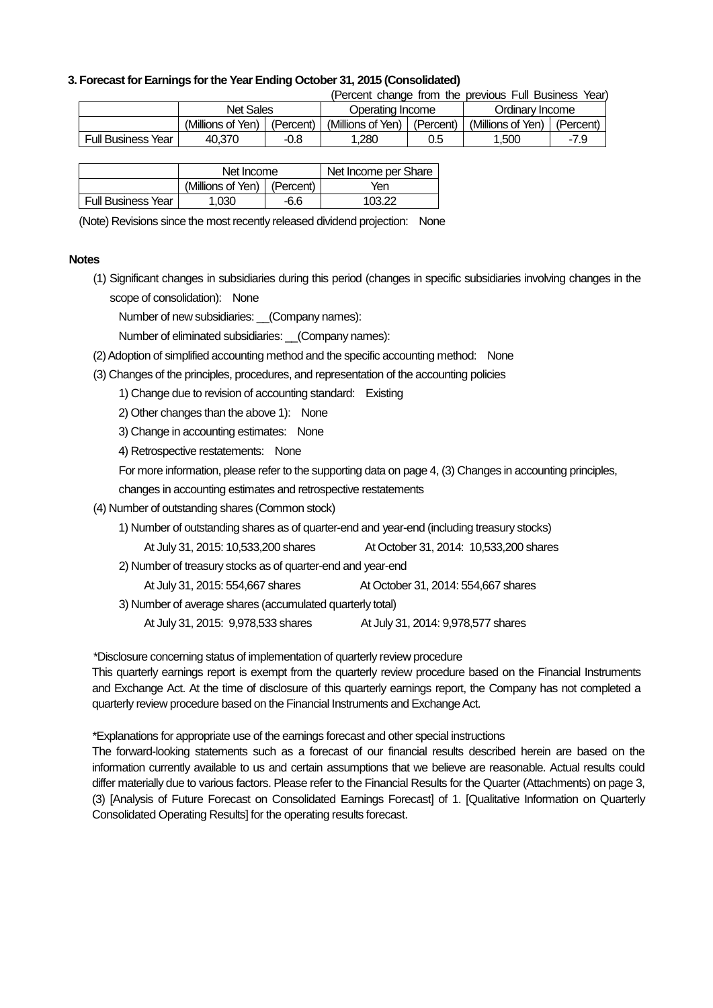### **3. Forecast for Earnings for the Year Ending October 31, 2015 (Consolidated)**

(Percent change from the previous Full Business Year)

|                    | <b>Net Sales</b>  |           |                   | Operating Income |                   | Ordinarv Income |  |
|--------------------|-------------------|-----------|-------------------|------------------|-------------------|-----------------|--|
|                    | (Millions of Yen) | (Percent) | (Millions of Yen) | (Percent)        | (Millions of Yen) | (Percent)       |  |
| Full Business Year | 40.370            | -0.8      | .280              | 0.5              | 1.500             | -7.9            |  |

|                           | Net Income                    |      | Net Income per Share |
|---------------------------|-------------------------------|------|----------------------|
|                           | (Millions of Yen)   (Percent) |      | Yen                  |
| <b>Full Business Year</b> | 1.030                         | -6.6 | 103.22               |

(Note) Revisions since the most recently released dividend projection: None

#### **Notes**

(1) Significant changes in subsidiaries during this period (changes in specific subsidiaries involving changes in the scope of consolidation): None

Number of new subsidiaries: \_\_(Company names):

Number of eliminated subsidiaries: (Company names):

- (2) Adoption of simplified accounting method and the specific accounting method: None
- (3) Changes of the principles, procedures, and representation of the accounting policies
	- 1) Change due to revision of accounting standard: Existing
	- 2) Other changes than the above 1): None
	- 3) Change in accounting estimates: None
	- 4) Retrospective restatements: None

For more information, please refer to the supporting data on page 4, (3) Changes in accounting principles,

changes in accounting estimates and retrospective restatements

- (4) Number of outstanding shares (Common stock)
	- 1) Number of outstanding shares as of quarter-end and year-end (including treasury stocks)

At July 31, 2015: 10,533,200 shares At October 31, 2014: 10,533,200 shares

2) Number of treasury stocks as of quarter-end and year-end

At July 31, 2015: 554,667 shares At October 31, 2014: 554,667 shares

- 3) Number of average shares (accumulated quarterly total)
	- At July 31, 2015: 9,978,533 shares At July 31, 2014: 9,978,577 shares

\*Disclosure concerning status of implementation of quarterly review procedure

This quarterly earnings report is exempt from the quarterly review procedure based on the Financial Instruments and Exchange Act. At the time of disclosure of this quarterly earnings report, the Company has not completed a quarterly review procedure based on the Financial Instruments and Exchange Act.

\*Explanations for appropriate use of the earnings forecast and other special instructions

The forward-looking statements such as a forecast of our financial results described herein are based on the information currently available to us and certain assumptions that we believe are reasonable. Actual results could differ materially due to various factors. Please refer to the Financial Results for the Quarter (Attachments) on page 3, (3) [Analysis of Future Forecast on Consolidated Earnings Forecast] of 1. [Qualitative Information on Quarterly Consolidated Operating Results] for the operating results forecast.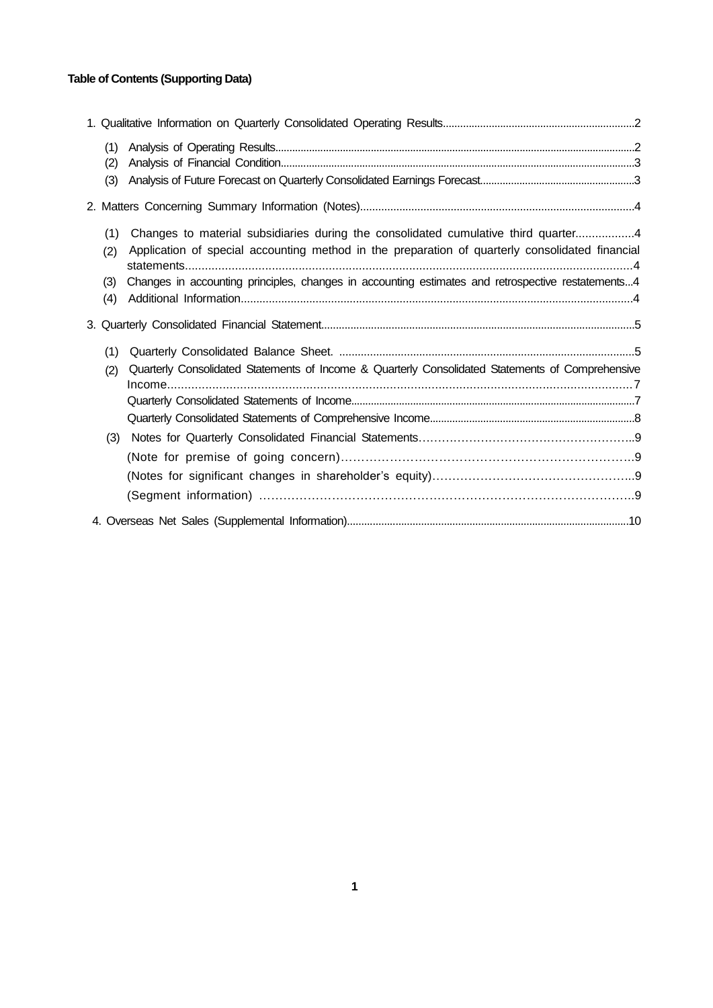# **Table of Contents (Supporting Data)**

| (1)        |                                                                                                                                                                                       |  |
|------------|---------------------------------------------------------------------------------------------------------------------------------------------------------------------------------------|--|
| (2)        |                                                                                                                                                                                       |  |
| (3)        |                                                                                                                                                                                       |  |
|            |                                                                                                                                                                                       |  |
| (1)<br>(2) | Changes to material subsidiaries during the consolidated cumulative third quarter4<br>Application of special accounting method in the preparation of quarterly consolidated financial |  |
| (3)<br>(4) | Changes in accounting principles, changes in accounting estimates and retrospective restatements4                                                                                     |  |
|            |                                                                                                                                                                                       |  |
| (1)        |                                                                                                                                                                                       |  |
| (2)        | Quarterly Consolidated Statements of Income & Quarterly Consolidated Statements of Comprehensive                                                                                      |  |
|            |                                                                                                                                                                                       |  |
|            |                                                                                                                                                                                       |  |
| (3)        |                                                                                                                                                                                       |  |
|            |                                                                                                                                                                                       |  |
|            |                                                                                                                                                                                       |  |
|            |                                                                                                                                                                                       |  |
|            |                                                                                                                                                                                       |  |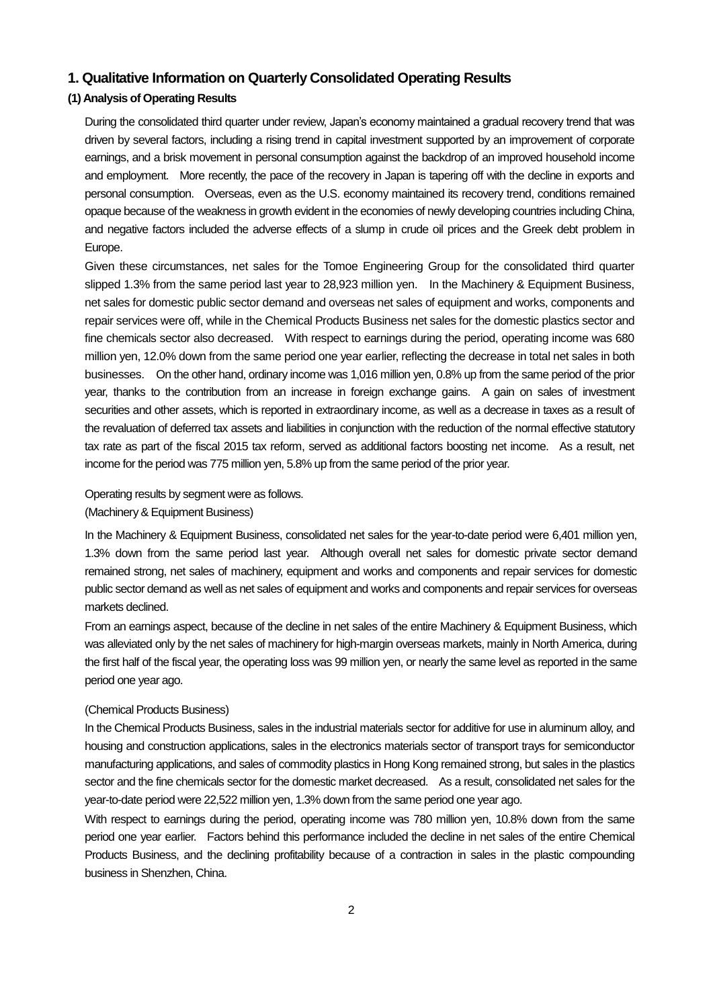# **1. Qualitative Information on Quarterly Consolidated Operating Results**

# **(1) Analysis of Operating Results**

During the consolidated third quarter under review, Japan's economy maintained a gradual recovery trend that was driven by several factors, including a rising trend in capital investment supported by an improvement of corporate earnings, and a brisk movement in personal consumption against the backdrop of an improved household income and employment. More recently, the pace of the recovery in Japan is tapering off with the decline in exports and personal consumption. Overseas, even as the U.S. economy maintained its recovery trend, conditions remained opaque because of the weakness in growth evident in the economies of newly developing countries including China, and negative factors included the adverse effects of a slump in crude oil prices and the Greek debt problem in Europe.

Given these circumstances, net sales for the Tomoe Engineering Group for the consolidated third quarter slipped 1.3% from the same period last year to 28,923 million yen. In the Machinery & Equipment Business, net sales for domestic public sector demand and overseas net sales of equipment and works, components and repair services were off, while in the Chemical Products Business net sales for the domestic plastics sector and fine chemicals sector also decreased. With respect to earnings during the period, operating income was 680 million yen, 12.0% down from the same period one year earlier, reflecting the decrease in total net sales in both businesses. On the other hand, ordinary income was 1,016 million yen, 0.8% up from the same period of the prior year, thanks to the contribution from an increase in foreign exchange gains. A gain on sales of investment securities and other assets, which is reported in extraordinary income, as well as a decrease in taxes as a result of the revaluation of deferred tax assets and liabilities in conjunction with the reduction of the normal effective statutory tax rate as part of the fiscal 2015 tax reform, served as additional factors boosting net income. As a result, net income for the period was 775 million yen, 5.8% up from the same period of the prior year.

Operating results by segment were as follows.

#### (Machinery & Equipment Business)

In the Machinery & Equipment Business, consolidated net sales for the year-to-date period were 6,401 million yen, 1.3% down from the same period last year. Although overall net sales for domestic private sector demand remained strong, net sales of machinery, equipment and works and components and repair services for domestic public sector demand as well as net sales of equipment and works and components and repair services for overseas markets declined.

From an earnings aspect, because of the decline in net sales of the entire Machinery & Equipment Business, which was alleviated only by the net sales of machinery for high-margin overseas markets, mainly in North America, during the first half of the fiscal year, the operating loss was 99 million yen, or nearly the same level as reported in the same period one year ago.

#### (Chemical Products Business)

In the Chemical Products Business, sales in the industrial materials sector for additive for use in aluminum alloy, and housing and construction applications, sales in the electronics materials sector of transport trays for semiconductor manufacturing applications, and sales of commodity plastics in Hong Kong remained strong, but sales in the plastics sector and the fine chemicals sector for the domestic market decreased. As a result, consolidated net sales for the year-to-date period were 22,522 million yen, 1.3% down from the same period one year ago.

With respect to earnings during the period, operating income was 780 million yen, 10.8% down from the same period one year earlier. Factors behind this performance included the decline in net sales of the entire Chemical Products Business, and the declining profitability because of a contraction in sales in the plastic compounding business in Shenzhen, China.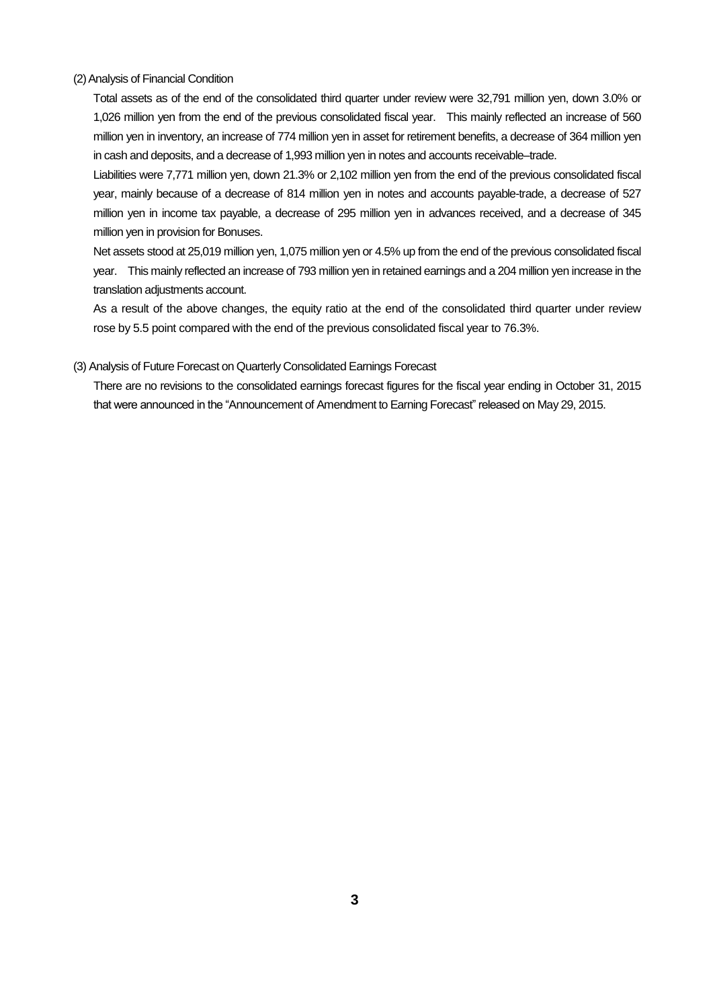#### (2) Analysis of Financial Condition

Total assets as of the end of the consolidated third quarter under review were 32,791 million yen, down 3.0% or 1,026 million yen from the end of the previous consolidated fiscal year. This mainly reflected an increase of 560 million yen in inventory, an increase of 774 million yen in asset for retirement benefits, a decrease of 364 million yen in cash and deposits, and a decrease of 1,993 million yen in notes and accounts receivable–trade.

Liabilities were 7,771 million yen, down 21.3% or 2,102 million yen from the end of the previous consolidated fiscal year, mainly because of a decrease of 814 million yen in notes and accounts payable-trade, a decrease of 527 million yen in income tax payable, a decrease of 295 million yen in advances received, and a decrease of 345 million yen in provision for Bonuses.

Net assets stood at 25,019 million yen, 1,075 million yen or 4.5% up from the end of the previous consolidated fiscal year. This mainly reflected an increase of 793 million yen in retained earnings and a 204 million yen increase in the translation adjustments account.

As a result of the above changes, the equity ratio at the end of the consolidated third quarter under review rose by 5.5 point compared with the end of the previous consolidated fiscal year to 76.3%.

#### (3) Analysis of Future Forecast on Quarterly Consolidated Earnings Forecast

There are no revisions to the consolidated earnings forecast figures for the fiscal year ending in October 31, 2015 that were announced in the "Announcement of Amendment to Earning Forecast" released on May 29, 2015.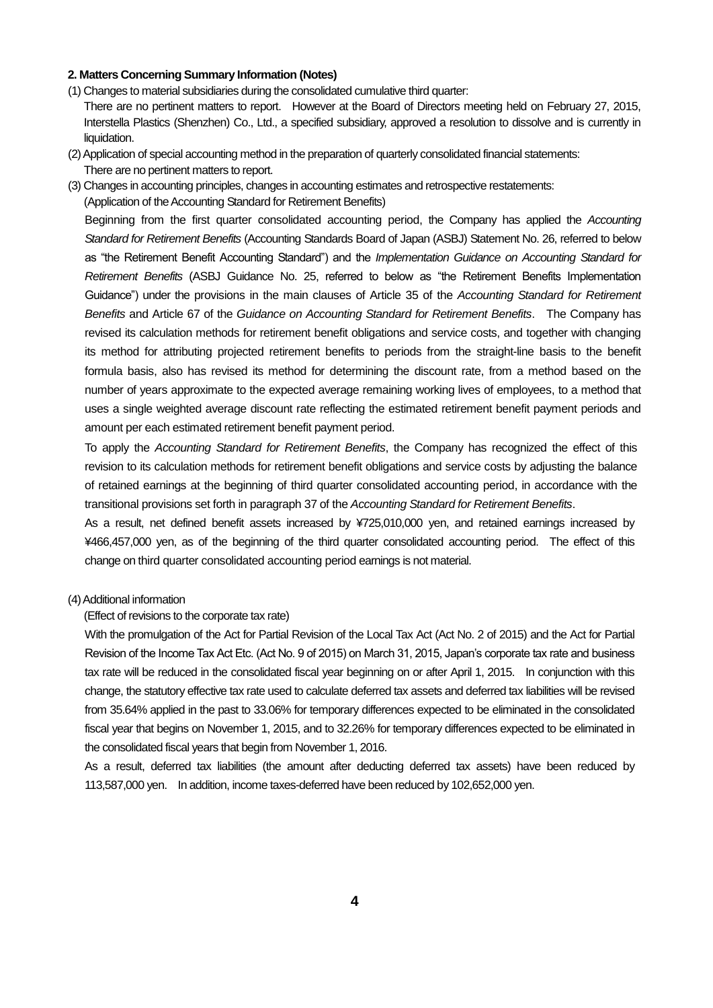#### **2. Matters Concerning Summary Information (Notes)**

- (1) Changes to material subsidiaries during the consolidated cumulative third quarter: There are no pertinent matters to report. However at the Board of Directors meeting held on February 27, 2015, Interstella Plastics (Shenzhen) Co., Ltd., a specified subsidiary, approved a resolution to dissolve and is currently in liquidation.
- (2) Application of special accounting method in the preparation of quarterly consolidated financial statements: There are no pertinent matters to report.
- (3) Changes in accounting principles, changes in accounting estimates and retrospective restatements: (Application of the Accounting Standard for Retirement Benefits)

Beginning from the first quarter consolidated accounting period, the Company has applied the *Accounting Standard for Retirement Benefits* (Accounting Standards Board of Japan (ASBJ) Statement No. 26, referred to below as "the Retirement Benefit Accounting Standard") and the *Implementation Guidance on Accounting Standard for Retirement Benefits* (ASBJ Guidance No. 25, referred to below as "the Retirement Benefits Implementation Guidance") under the provisions in the main clauses of Article 35 of the *Accounting Standard for Retirement Benefits* and Article 67 of the *Guidance on Accounting Standard for Retirement Benefits*. The Company has revised its calculation methods for retirement benefit obligations and service costs, and together with changing its method for attributing projected retirement benefits to periods from the straight-line basis to the benefit formula basis, also has revised its method for determining the discount rate, from a method based on the number of years approximate to the expected average remaining working lives of employees, to a method that uses a single weighted average discount rate reflecting the estimated retirement benefit payment periods and amount per each estimated retirement benefit payment period.

To apply the *Accounting Standard for Retirement Benefits*, the Company has recognized the effect of this revision to its calculation methods for retirement benefit obligations and service costs by adjusting the balance of retained earnings at the beginning of third quarter consolidated accounting period, in accordance with the transitional provisions set forth in paragraph 37 of the *Accounting Standard for Retirement Benefits*.

As a result, net defined benefit assets increased by ¥725,010,000 yen, and retained earnings increased by ¥466,457,000 yen, as of the beginning of the third quarter consolidated accounting period. The effect of this change on third quarter consolidated accounting period earnings is not material.

#### (4) Additional information

(Effect of revisions to the corporate tax rate)

With the promulgation of the Act for Partial Revision of the Local Tax Act (Act No. 2 of 2015) and the Act for Partial Revision of the Income Tax Act Etc. (Act No. 9 of 2015) on March 31, 2015, Japan's corporate tax rate and business tax rate will be reduced in the consolidated fiscal year beginning on or after April 1, 2015. In conjunction with this change, the statutory effective tax rate used to calculate deferred tax assets and deferred tax liabilities will be revised from 35.64% applied in the past to 33.06% for temporary differences expected to be eliminated in the consolidated fiscal year that begins on November 1, 2015, and to 32.26% for temporary differences expected to be eliminated in the consolidated fiscal years that begin from November 1, 2016.

As a result, deferred tax liabilities (the amount after deducting deferred tax assets) have been reduced by 113,587,000 yen. In addition, income taxes-deferred have been reduced by 102,652,000 yen.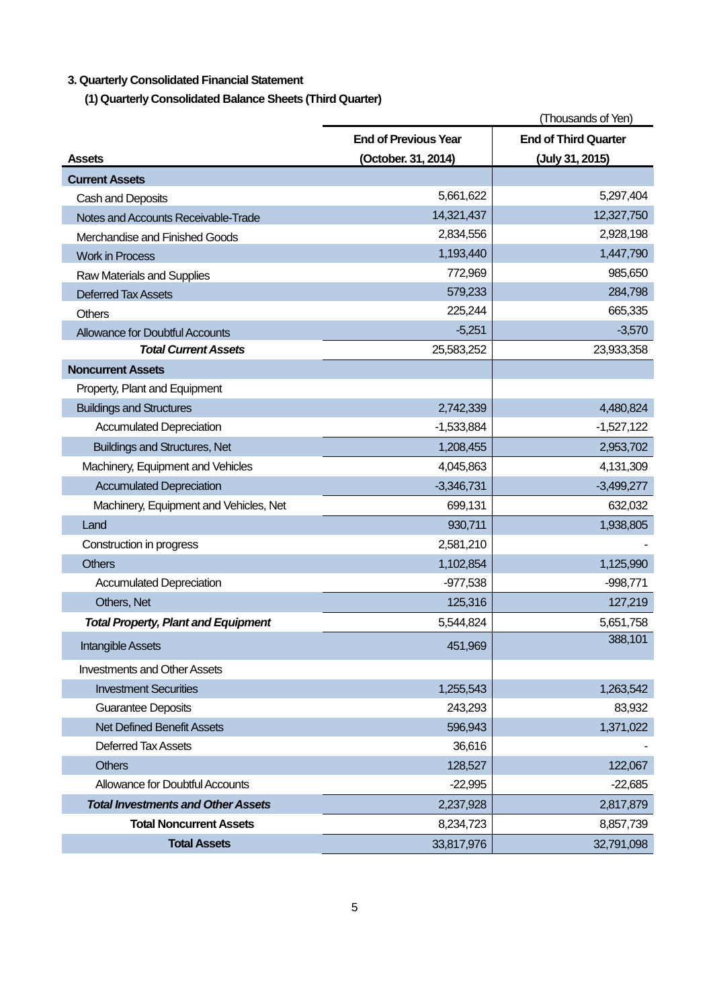# **3. Quarterly Consolidated Financial Statement**

**(1) Quarterly Consolidated Balance Sheets (Third Quarter)** 

|                                            | (Thousands of Yen)          |                             |
|--------------------------------------------|-----------------------------|-----------------------------|
|                                            | <b>End of Previous Year</b> | <b>End of Third Quarter</b> |
| Assets                                     | (October. 31, 2014)         | (July 31, 2015)             |
| <b>Current Assets</b>                      |                             |                             |
| Cash and Deposits                          | 5,661,622                   | 5,297,404                   |
| Notes and Accounts Receivable-Trade        | 14,321,437                  | 12,327,750                  |
| Merchandise and Finished Goods             | 2,834,556                   | 2,928,198                   |
| <b>Work in Process</b>                     | 1,193,440                   | 1,447,790                   |
| Raw Materials and Supplies                 | 772,969                     | 985,650                     |
| <b>Deferred Tax Assets</b>                 | 579,233                     | 284,798                     |
| <b>Others</b>                              | 225,244                     | 665,335                     |
| <b>Allowance for Doubtful Accounts</b>     | $-5,251$                    | $-3,570$                    |
| <b>Total Current Assets</b>                | 25,583,252                  | 23,933,358                  |
| <b>Noncurrent Assets</b>                   |                             |                             |
| Property, Plant and Equipment              |                             |                             |
| <b>Buildings and Structures</b>            | 2,742,339                   | 4,480,824                   |
| <b>Accumulated Depreciation</b>            | $-1,533,884$                | $-1,527,122$                |
| <b>Buildings and Structures, Net</b>       | 1,208,455                   | 2,953,702                   |
| Machinery, Equipment and Vehicles          | 4,045,863                   | 4,131,309                   |
| <b>Accumulated Depreciation</b>            | $-3,346,731$                | $-3,499,277$                |
| Machinery, Equipment and Vehicles, Net     | 699,131                     | 632,032                     |
| Land                                       | 930,711                     | 1,938,805                   |
| Construction in progress                   | 2,581,210                   |                             |
| <b>Others</b>                              | 1,102,854                   | 1,125,990                   |
| <b>Accumulated Depreciation</b>            | $-977,538$                  | $-998,771$                  |
| Others, Net                                | 125,316                     | 127,219                     |
| <b>Total Property, Plant and Equipment</b> | 5,544,824                   | 5,651,758                   |
| <b>Intangible Assets</b>                   | 451,969                     | 388,101                     |
| <b>Investments and Other Assets</b>        |                             |                             |
| <b>Investment Securities</b>               | 1,255,543                   | 1,263,542                   |
| <b>Guarantee Deposits</b>                  | 243,293                     | 83,932                      |
| <b>Net Defined Benefit Assets</b>          | 596,943                     | 1,371,022                   |
| <b>Deferred Tax Assets</b>                 | 36,616                      |                             |
| <b>Others</b>                              | 128,527                     | 122,067                     |
| <b>Allowance for Doubtful Accounts</b>     | $-22,995$                   | $-22,685$                   |
| <b>Total Investments and Other Assets</b>  | 2,237,928                   | 2,817,879                   |
| <b>Total Noncurrent Assets</b>             | 8,234,723                   | 8,857,739                   |
| <b>Total Assets</b>                        | 33,817,976                  | 32,791,098                  |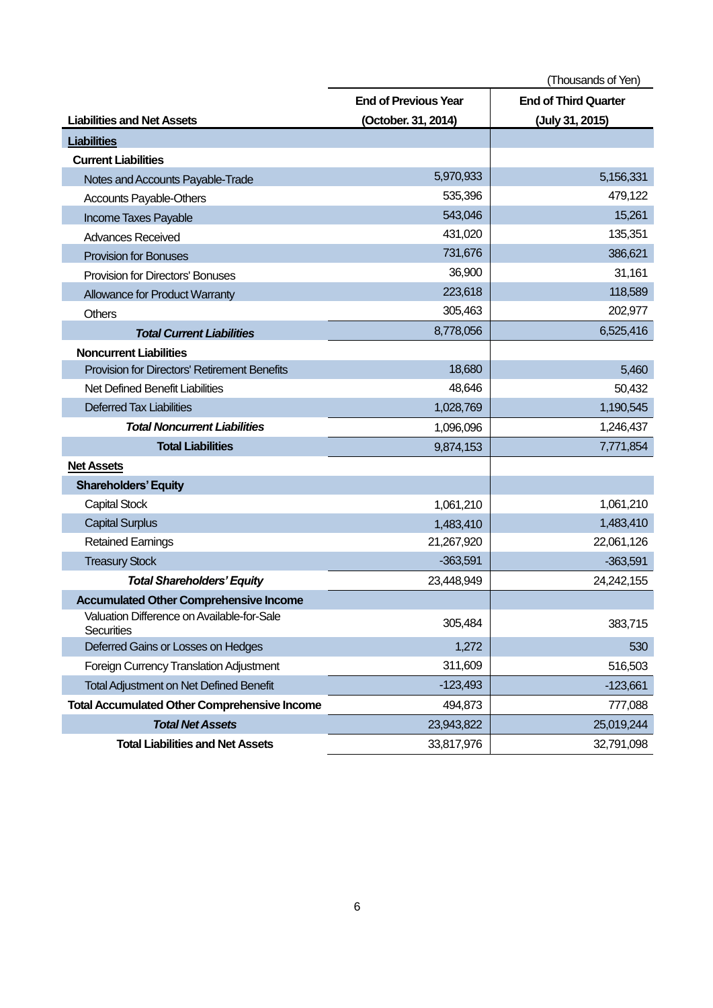|                                                                 |                             | (Thousands of Yen)          |
|-----------------------------------------------------------------|-----------------------------|-----------------------------|
|                                                                 | <b>End of Previous Year</b> | <b>End of Third Quarter</b> |
| <b>Liabilities and Net Assets</b>                               | (October. 31, 2014)         | (July 31, 2015)             |
| <b>Liabilities</b>                                              |                             |                             |
| <b>Current Liabilities</b>                                      |                             |                             |
| Notes and Accounts Payable-Trade                                | 5,970,933                   | 5,156,331                   |
| Accounts Payable-Others                                         | 535,396                     | 479,122                     |
| Income Taxes Payable                                            | 543,046                     | 15,261                      |
| <b>Advances Received</b>                                        | 431,020                     | 135,351                     |
| <b>Provision for Bonuses</b>                                    | 731,676                     | 386,621                     |
| <b>Provision for Directors' Bonuses</b>                         | 36,900                      | 31,161                      |
| <b>Allowance for Product Warranty</b>                           | 223,618                     | 118,589                     |
| <b>Others</b>                                                   | 305,463                     | 202,977                     |
| <b>Total Current Liabilities</b>                                | 8,778,056                   | 6,525,416                   |
| <b>Noncurrent Liabilities</b>                                   |                             |                             |
| Provision for Directors' Retirement Benefits                    | 18,680                      | 5,460                       |
| Net Defined Benefit Liabilities                                 | 48,646                      | 50,432                      |
| <b>Deferred Tax Liabilities</b>                                 | 1,028,769                   | 1,190,545                   |
| <b>Total Noncurrent Liabilities</b>                             | 1,096,096                   | 1,246,437                   |
| <b>Total Liabilities</b>                                        | 9,874,153                   | 7,771,854                   |
| <b>Net Assets</b>                                               |                             |                             |
| <b>Shareholders' Equity</b>                                     |                             |                             |
| <b>Capital Stock</b>                                            | 1,061,210                   | 1,061,210                   |
| <b>Capital Surplus</b>                                          | 1,483,410                   | 1,483,410                   |
| <b>Retained Earnings</b>                                        | 21,267,920                  | 22,061,126                  |
| <b>Treasury Stock</b>                                           | $-363,591$                  | $-363,591$                  |
| <b>Total Shareholders' Equity</b>                               | 23,448,949                  | 24,242,155                  |
| <b>Accumulated Other Comprehensive Income</b>                   |                             |                             |
| Valuation Difference on Available-for-Sale<br><b>Securities</b> | 305,484                     | 383,715                     |
| Deferred Gains or Losses on Hedges                              | 1,272                       | 530                         |
| Foreign Currency Translation Adjustment                         | 311,609                     | 516,503                     |
| <b>Total Adjustment on Net Defined Benefit</b>                  | $-123,493$                  | $-123,661$                  |
| <b>Total Accumulated Other Comprehensive Income</b>             | 494,873                     | 777,088                     |
| <b>Total Net Assets</b>                                         | 23,943,822                  | 25,019,244                  |
| <b>Total Liabilities and Net Assets</b>                         | 33,817,976                  | 32,791,098                  |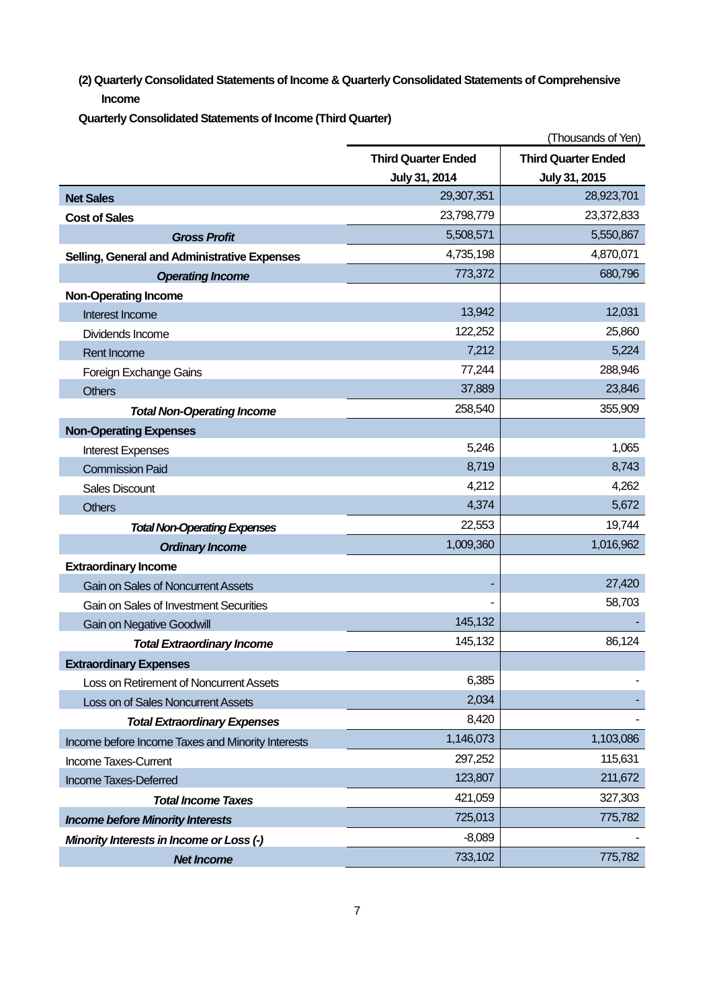**(2) Quarterly Consolidated Statements of Income & Quarterly Consolidated Statements of Comprehensive Income**

**Quarterly Consolidated Statements of Income (Third Quarter)** 

|                                                   |                            | (Thousands of Yen)         |
|---------------------------------------------------|----------------------------|----------------------------|
|                                                   | <b>Third Quarter Ended</b> | <b>Third Quarter Ended</b> |
|                                                   | July 31, 2014              | July 31, 2015              |
| <b>Net Sales</b>                                  | 29,307,351                 | 28,923,701                 |
| <b>Cost of Sales</b>                              | 23,798,779                 | 23,372,833                 |
| <b>Gross Profit</b>                               | 5,508,571                  | 5,550,867                  |
| Selling, General and Administrative Expenses      | 4,735,198                  | 4,870,071                  |
| <b>Operating Income</b>                           | 773,372                    | 680,796                    |
| <b>Non-Operating Income</b>                       |                            |                            |
| Interest Income                                   | 13,942                     | 12,031                     |
| Dividends Income                                  | 122,252                    | 25,860                     |
| Rent Income                                       | 7,212                      | 5,224                      |
| Foreign Exchange Gains                            | 77,244                     | 288,946                    |
| <b>Others</b>                                     | 37,889                     | 23,846                     |
| <b>Total Non-Operating Income</b>                 | 258,540                    | 355,909                    |
| <b>Non-Operating Expenses</b>                     |                            |                            |
| <b>Interest Expenses</b>                          | 5,246                      | 1,065                      |
| <b>Commission Paid</b>                            | 8,719                      | 8,743                      |
| <b>Sales Discount</b>                             | 4,212                      | 4,262                      |
| <b>Others</b>                                     | 4,374                      | 5,672                      |
| <b>Total Non-Operating Expenses</b>               | 22,553                     | 19,744                     |
| <b>Ordinary Income</b>                            | 1,009,360                  | 1,016,962                  |
| <b>Extraordinary Income</b>                       |                            |                            |
| Gain on Sales of Noncurrent Assets                |                            | 27,420                     |
| Gain on Sales of Investment Securities            |                            | 58,703                     |
| <b>Gain on Negative Goodwill</b>                  | 145,132                    |                            |
| <b>Total Extraordinary Income</b>                 | 145,132                    | 86,124                     |
| <b>Extraordinary Expenses</b>                     |                            |                            |
| Loss on Retirement of Noncurrent Assets           | 6,385                      |                            |
| Loss on of Sales Noncurrent Assets                | 2,034                      |                            |
| <b>Total Extraordinary Expenses</b>               | 8,420                      |                            |
| Income before Income Taxes and Minority Interests | 1,146,073                  | 1,103,086                  |
| Income Taxes-Current                              | 297,252                    | 115,631                    |
| Income Taxes-Deferred                             | 123,807                    | 211,672                    |
| <b>Total Income Taxes</b>                         | 421,059                    | 327,303                    |
| <b>Income before Minority Interests</b>           | 725,013                    | 775,782                    |
| Minority Interests in Income or Loss (-)          | $-8,089$                   |                            |
| <b>Net Income</b>                                 | 733,102                    | 775,782                    |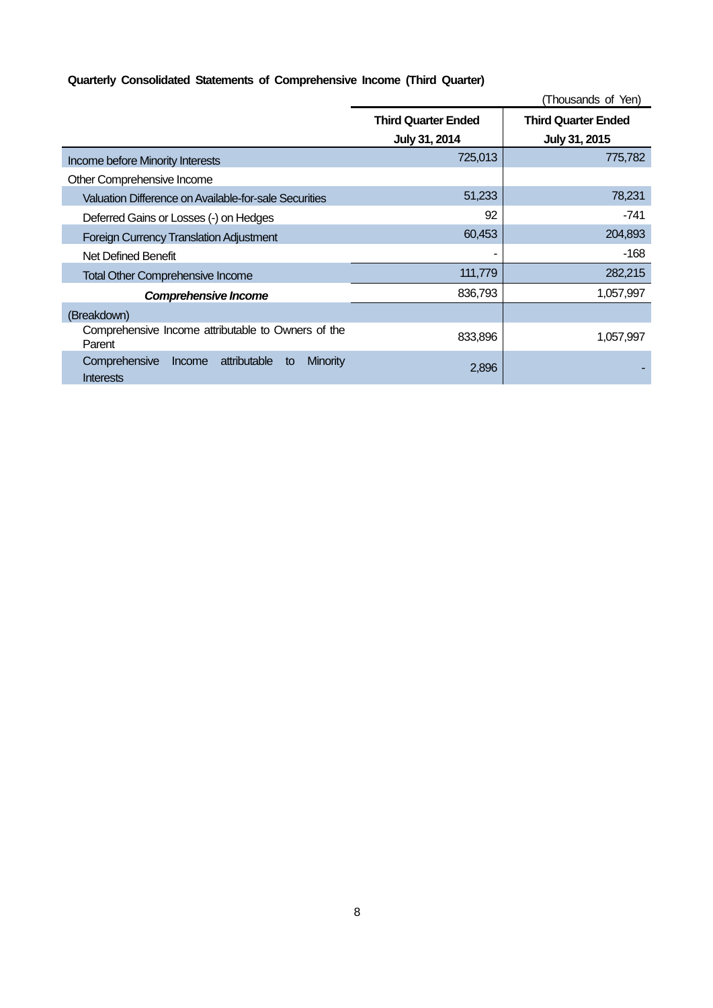# **Quarterly Consolidated Statements of Comprehensive Income (Third Quarter)**

|                                                                               |                                             | (Thousands of Yen)                          |
|-------------------------------------------------------------------------------|---------------------------------------------|---------------------------------------------|
|                                                                               | <b>Third Quarter Ended</b><br>July 31, 2014 | <b>Third Quarter Ended</b><br>July 31, 2015 |
| Income before Minority Interests                                              | 725,013                                     | 775,782                                     |
| Other Comprehensive Income                                                    |                                             |                                             |
| Valuation Difference on Available-for-sale Securities                         | 51,233                                      | 78,231                                      |
| Deferred Gains or Losses (-) on Hedges                                        | 92                                          | -741                                        |
| <b>Foreign Currency Translation Adjustment</b>                                | 60,453                                      | 204,893                                     |
| Net Defined Benefit                                                           |                                             | $-168$                                      |
| <b>Total Other Comprehensive Income</b>                                       | 111,779                                     | 282,215                                     |
| Comprehensive Income                                                          | 836,793                                     | 1,057,997                                   |
| (Breakdown)                                                                   |                                             |                                             |
| Comprehensive Income attributable to Owners of the<br>Parent                  | 833,896                                     | 1,057,997                                   |
| attributable<br>Comprehensive<br><b>Minority</b><br>Income<br>to<br>Interests | 2,896                                       |                                             |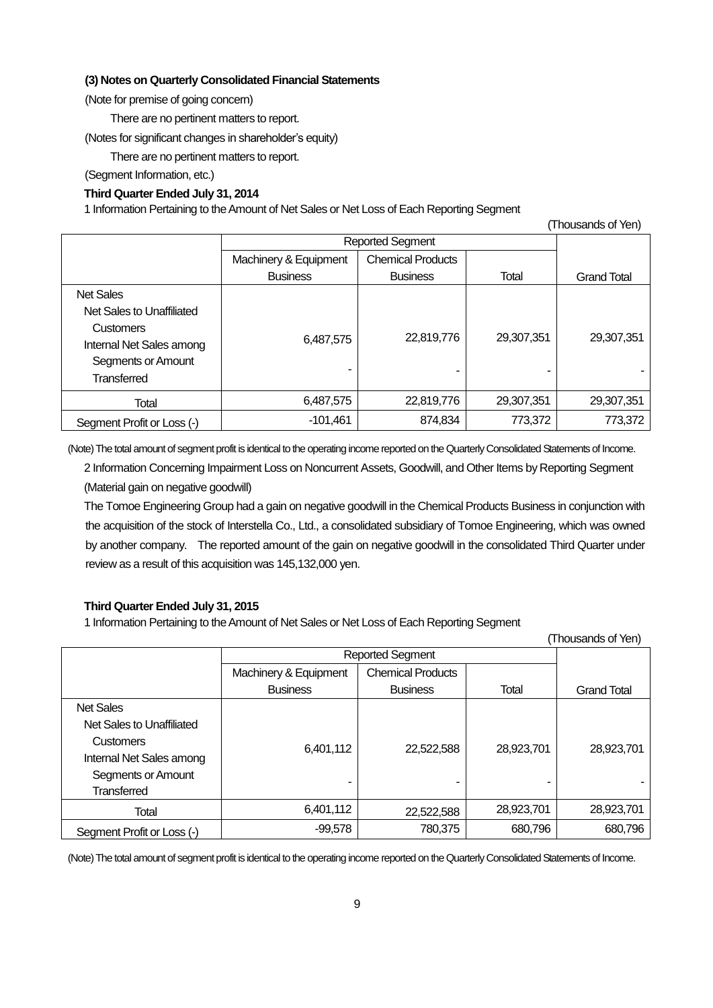### **(3) Notes on Quarterly Consolidated Financial Statements**

(Note for premise of going concern)

There are no pertinent matters to report.

(Notes for significant changes in shareholder's equity)

There are no pertinent matters to report.

(Segment Information, etc.)

# **Third Quarter Ended July 31, 2014**

1 Information Pertaining to the Amount of Net Sales or Net Loss of Each Reporting Segment

| (Thousands of Yen)         |                         |                          |            |                    |
|----------------------------|-------------------------|--------------------------|------------|--------------------|
|                            | <b>Reported Segment</b> |                          |            |                    |
|                            | Machinery & Equipment   | <b>Chemical Products</b> |            |                    |
|                            | <b>Business</b>         | <b>Business</b>          | Total      | <b>Grand Total</b> |
| <b>Net Sales</b>           |                         |                          |            |                    |
| Net Sales to Unaffiliated  |                         |                          |            |                    |
| <b>Customers</b>           |                         |                          |            |                    |
| Internal Net Sales among   | 6,487,575               | 22,819,776               | 29,307,351 | 29,307,351         |
| Segments or Amount         |                         |                          |            |                    |
| Transferred                |                         | -                        |            |                    |
| Total                      | 6,487,575               | 22,819,776               | 29,307,351 | 29,307,351         |
| Segment Profit or Loss (-) | $-101,461$              | 874,834                  | 773,372    | 773,372            |

(Note) The total amount of segment profit is identical to the operating income reported on the QuarterlyConsolidated Statements of Income.

2 Information Concerning Impairment Loss on Noncurrent Assets, Goodwill, and Other Items by Reporting Segment (Material gain on negative goodwill)

The Tomoe Engineering Group had a gain on negative goodwill in the Chemical Products Business in conjunction with the acquisition of the stock of Interstella Co., Ltd., a consolidated subsidiary of Tomoe Engineering, which was owned by another company. The reported amount of the gain on negative goodwill in the consolidated Third Quarter under review as a result of this acquisition was 145,132,000 yen.

#### **Third Quarter Ended July 31, 2015**

1 Information Pertaining to the Amount of Net Sales or Net Loss of Each Reporting Segment

|                            |                         |                          |            | (Thousands of Yen) |
|----------------------------|-------------------------|--------------------------|------------|--------------------|
|                            | <b>Reported Segment</b> |                          |            |                    |
|                            | Machinery & Equipment   | <b>Chemical Products</b> |            |                    |
|                            | <b>Business</b>         | <b>Business</b>          | Total      | <b>Grand Total</b> |
| <b>Net Sales</b>           |                         |                          |            |                    |
| Net Sales to Unaffiliated  |                         |                          |            |                    |
| <b>Customers</b>           | 6,401,112               | 22,522,588               | 28,923,701 | 28,923,701         |
| Internal Net Sales among   |                         |                          |            |                    |
| Segments or Amount         |                         |                          |            |                    |
| <b>Transferred</b>         |                         |                          |            |                    |
| Total                      | 6,401,112               | 22,522,588               | 28,923,701 | 28,923,701         |
| Segment Profit or Loss (-) | $-99,578$               | 780,375                  | 680,796    | 680,796            |

(Note) The total amount of segment profit is identical to the operating income reported on the QuarterlyConsolidated Statements of Income.